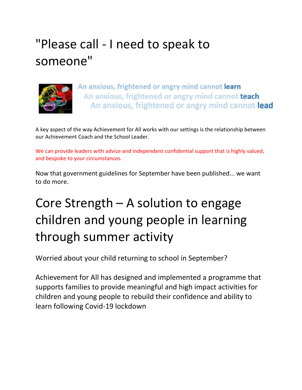# "Please call - I need to speak to someone"



An anxious, frightened or angry mind cannot learn An anxious, frightened or angry mind cannot teach An anxious, frightened or angry mind cannot lead

A key aspect of the way Achievement for All works with our settings is the relationship between our Achievement Coach and the School Leader.

We can provide leaders with advice and independent confidential support that is highly valued, and bespoke to your circumstances.

Now that government guidelines for September have been published... we want to do more.

# Core Strength – A solution to engage children and young people in learning through summer activity

Worried about your child returning to school in September?

Achievement for All has designed and implemented a programme that supports families to provide meaningful and high impact activities for children and young people to rebuild their confidence and ability to learn following Covid-19 lockdown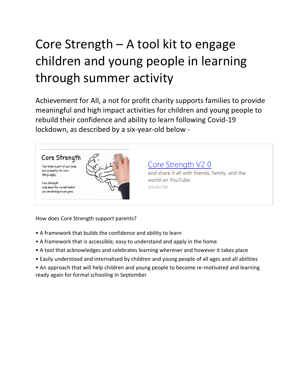# Core Strength – A tool kit to engage children and young people in learning through summer activity

Achievement for All, a not for profit charity supports families to provide meaningful and high impact activities for children and young people to rebuild their confidence and ability to learn following Covid-19 lockdown, as described by a six-year-old below -



How does Core Strength support parents?

- A framework that builds the confidence and ability to learn
- A framework that is accessible, easy to understand and apply in the home
- A tool that acknowledges and celebrates learning wherever and however it takes place
- Easily understood and internalised by children and young people of all ages and all abilities

• An approach that will help children and young people to become re-motivated and learning ready again for formal schooling in September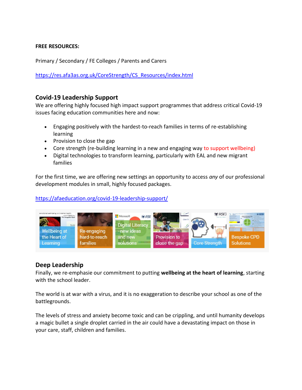#### **FREE RESOURCES:**

Primary / Secondary / FE Colleges / Parents and Carers

[https://res.afa3as.org.uk/CoreStrength/CS\\_Resources/index.html](https://res.afa3as.org.uk/CoreStrength/CS_Resources/index.html)

### **Covid-19 Leadership Support**

We are offering highly focused high impact support programmes that address critical Covid-19 issues facing education communities here and now:

- Engaging positively with the hardest-to-reach families in terms of re-establishing learning
- Provision to close the gap
- Core strength (re-building learning in a new and engaging way to support wellbeing)
- Digital technologies to transform learning, particularly with EAL and new migrant families

For the first time, we are offering new settings an opportunity to access *any* of our professional development modules in small, highly focused packages.

#### <https://afaeducation.org/covid-19-leadership-support/>



### **Deep Leadership**

Finally, we re-emphasie our commitment to putting **wellbeing at the heart of learning**, starting with the school leader.

The world is at war with a virus, and it is no exaggeration to describe your school as one of the battlegrounds.

The levels of stress and anxiety become toxic and can be crippling, and until humanity develops a magic bullet a single droplet carried in the air could have a devastating impact on those in your care, staff, children and families.